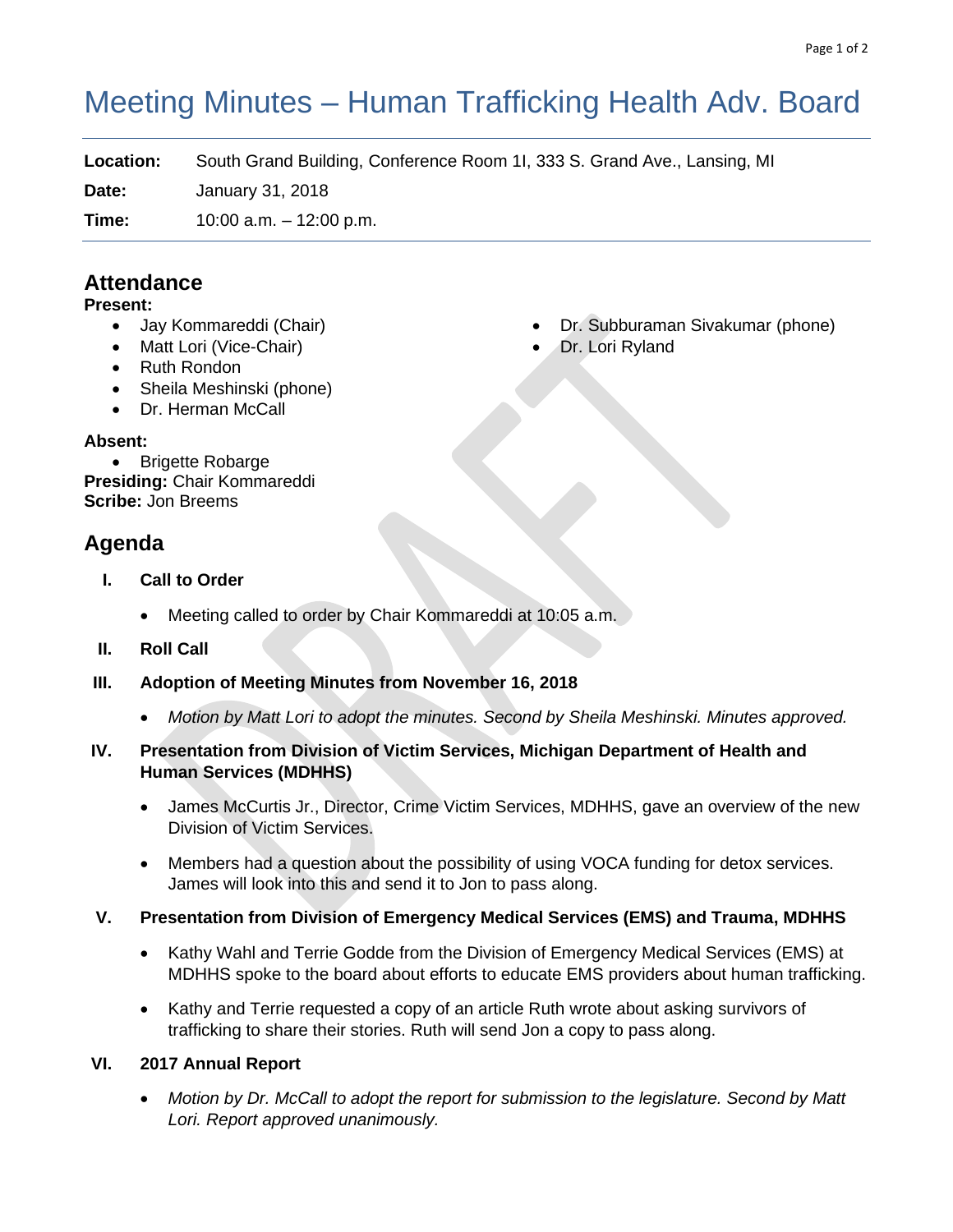# Meeting Minutes – Human Trafficking Health Adv. Board

**Location:** South Grand Building, Conference Room 1I, 333 S. Grand Ave., Lansing, MI

**Date:** January 31, 2018

**Time:** 10:00 a.m. – 12:00 p.m.

# **Attendance**

#### **Present:**

- Jay Kommareddi (Chair)
- Matt Lori (Vice-Chair)
- Ruth Rondon
- Sheila Meshinski (phone)
- Dr. Herman McCall

#### **Absent:**

• Brigette Robarge **Presiding:** Chair Kommareddi **Scribe:** Jon Breems

# **Agenda**

- **I. Call to Order**
	- Meeting called to order by Chair Kommareddi at 10:05 a.m.
- **II. Roll Call**
- **III. Adoption of Meeting Minutes from November 16, 2018**
	- *Motion by Matt Lori to adopt the minutes. Second by Sheila Meshinski. Minutes approved.*

#### **IV. Presentation from Division of Victim Services, Michigan Department of Health and Human Services (MDHHS)**

- James McCurtis Jr., Director, Crime Victim Services, MDHHS, gave an overview of the new Division of Victim Services.
- Members had a question about the possibility of using VOCA funding for detox services. James will look into this and send it to Jon to pass along.

# **V. Presentation from Division of Emergency Medical Services (EMS) and Trauma, MDHHS**

- Kathy Wahl and Terrie Godde from the Division of Emergency Medical Services (EMS) at MDHHS spoke to the board about efforts to educate EMS providers about human trafficking.
- Kathy and Terrie requested a copy of an article Ruth wrote about asking survivors of trafficking to share their stories. Ruth will send Jon a copy to pass along.

# **VI. 2017 Annual Report**

• *Motion by Dr. McCall to adopt the report for submission to the legislature. Second by Matt Lori. Report approved unanimously.*

- Dr. Subburaman Sivakumar (phone)
- Dr. Lori Ryland